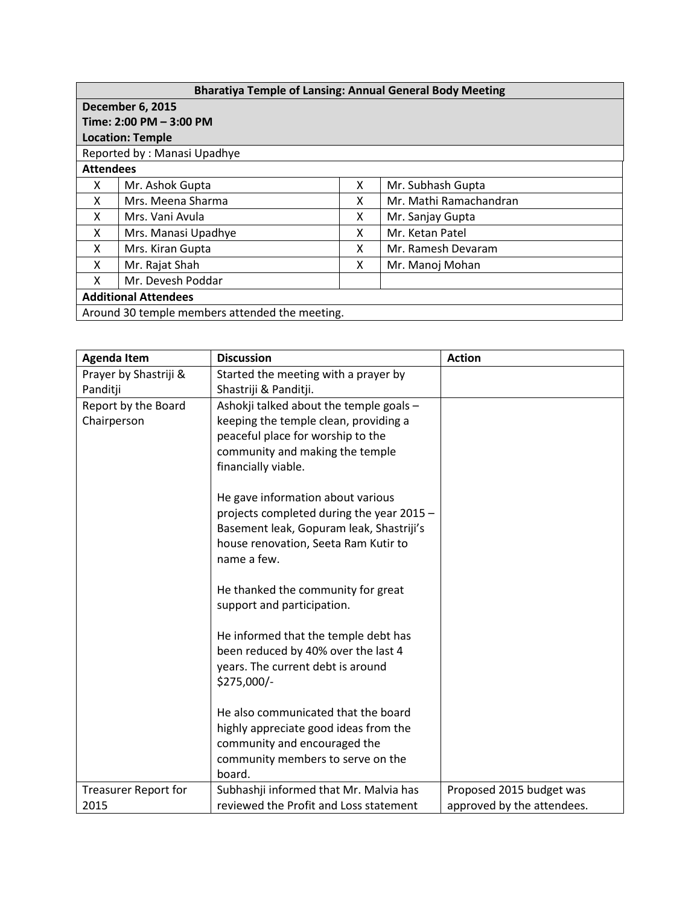| <b>Bharatiya Temple of Lansing: Annual General Body Meeting</b> |                     |   |                        |  |  |  |
|-----------------------------------------------------------------|---------------------|---|------------------------|--|--|--|
| <b>December 6, 2015</b>                                         |                     |   |                        |  |  |  |
| Time: 2:00 PM - 3:00 PM                                         |                     |   |                        |  |  |  |
| <b>Location: Temple</b>                                         |                     |   |                        |  |  |  |
| Reported by: Manasi Upadhye                                     |                     |   |                        |  |  |  |
| <b>Attendees</b>                                                |                     |   |                        |  |  |  |
| x                                                               | Mr. Ashok Gupta     | X | Mr. Subhash Gupta      |  |  |  |
| x                                                               | Mrs. Meena Sharma   | x | Mr. Mathi Ramachandran |  |  |  |
| x                                                               | Mrs. Vani Avula     | x | Mr. Sanjay Gupta       |  |  |  |
| X                                                               | Mrs. Manasi Upadhye | x | Mr. Ketan Patel        |  |  |  |
| x                                                               | Mrs. Kiran Gupta    | x | Mr. Ramesh Devaram     |  |  |  |
| x                                                               | Mr. Rajat Shah      | x | Mr. Manoj Mohan        |  |  |  |
| x                                                               | Mr. Devesh Poddar   |   |                        |  |  |  |
| <b>Additional Attendees</b>                                     |                     |   |                        |  |  |  |
| Around 30 temple members attended the meeting.                  |                     |   |                        |  |  |  |

| <b>Agenda Item</b>    | <b>Discussion</b>                                                | <b>Action</b>              |
|-----------------------|------------------------------------------------------------------|----------------------------|
| Prayer by Shastriji & | Started the meeting with a prayer by                             |                            |
| Panditji              | Shastriji & Panditji.                                            |                            |
| Report by the Board   | Ashokji talked about the temple goals -                          |                            |
| Chairperson           | keeping the temple clean, providing a                            |                            |
|                       | peaceful place for worship to the                                |                            |
|                       | community and making the temple                                  |                            |
|                       | financially viable.                                              |                            |
|                       | He gave information about various                                |                            |
|                       | projects completed during the year 2015 -                        |                            |
|                       | Basement leak, Gopuram leak, Shastriji's                         |                            |
|                       | house renovation, Seeta Ram Kutir to                             |                            |
|                       | name a few.                                                      |                            |
|                       | He thanked the community for great<br>support and participation. |                            |
|                       | He informed that the temple debt has                             |                            |
|                       | been reduced by 40% over the last 4                              |                            |
|                       | years. The current debt is around                                |                            |
|                       | \$275,000/-                                                      |                            |
|                       |                                                                  |                            |
|                       | He also communicated that the board                              |                            |
|                       | highly appreciate good ideas from the                            |                            |
|                       | community and encouraged the                                     |                            |
|                       | community members to serve on the                                |                            |
|                       | board.                                                           |                            |
| Treasurer Report for  | Subhashji informed that Mr. Malvia has                           | Proposed 2015 budget was   |
| 2015                  | reviewed the Profit and Loss statement                           | approved by the attendees. |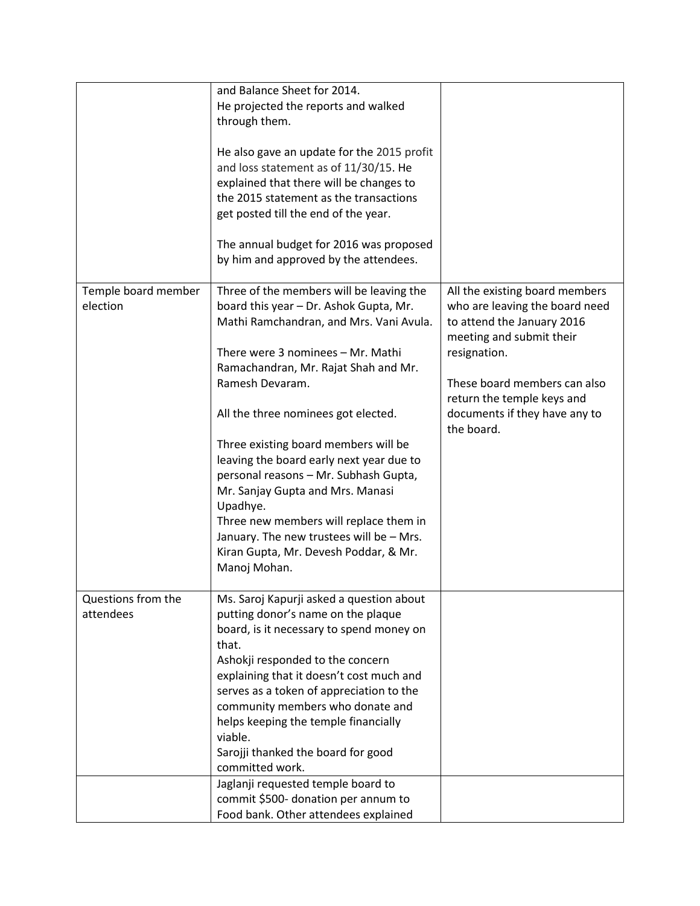|                                 | and Balance Sheet for 2014.<br>He projected the reports and walked<br>through them.<br>He also gave an update for the 2015 profit<br>and loss statement as of 11/30/15. He<br>explained that there will be changes to<br>the 2015 statement as the transactions<br>get posted till the end of the year.<br>The annual budget for 2016 was proposed<br>by him and approved by the attendees.                                                                                                                                                                                                      |                                                                                                                                                                                                                                                         |
|---------------------------------|--------------------------------------------------------------------------------------------------------------------------------------------------------------------------------------------------------------------------------------------------------------------------------------------------------------------------------------------------------------------------------------------------------------------------------------------------------------------------------------------------------------------------------------------------------------------------------------------------|---------------------------------------------------------------------------------------------------------------------------------------------------------------------------------------------------------------------------------------------------------|
| Temple board member<br>election | Three of the members will be leaving the<br>board this year - Dr. Ashok Gupta, Mr.<br>Mathi Ramchandran, and Mrs. Vani Avula.<br>There were 3 nominees - Mr. Mathi<br>Ramachandran, Mr. Rajat Shah and Mr.<br>Ramesh Devaram.<br>All the three nominees got elected.<br>Three existing board members will be<br>leaving the board early next year due to<br>personal reasons - Mr. Subhash Gupta,<br>Mr. Sanjay Gupta and Mrs. Manasi<br>Upadhye.<br>Three new members will replace them in<br>January. The new trustees will be - Mrs.<br>Kiran Gupta, Mr. Devesh Poddar, & Mr.<br>Manoj Mohan. | All the existing board members<br>who are leaving the board need<br>to attend the January 2016<br>meeting and submit their<br>resignation.<br>These board members can also<br>return the temple keys and<br>documents if they have any to<br>the board. |
| Questions from the<br>attendees | Ms. Saroj Kapurji asked a question about<br>putting donor's name on the plaque<br>board, is it necessary to spend money on<br>that.<br>Ashokji responded to the concern<br>explaining that it doesn't cost much and<br>serves as a token of appreciation to the<br>community members who donate and<br>helps keeping the temple financially<br>viable.<br>Sarojji thanked the board for good<br>committed work.<br>Jaglanji requested temple board to                                                                                                                                            |                                                                                                                                                                                                                                                         |
|                                 | commit \$500- donation per annum to<br>Food bank. Other attendees explained                                                                                                                                                                                                                                                                                                                                                                                                                                                                                                                      |                                                                                                                                                                                                                                                         |